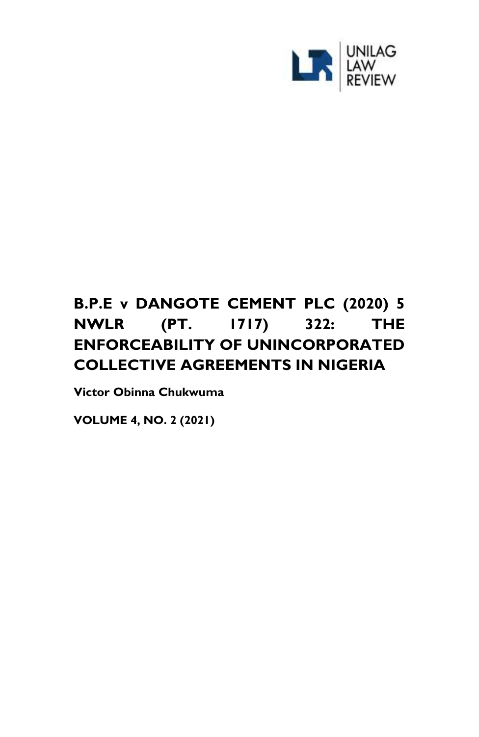

# **B.P.E v DANGOTE CEMENT PLC (2020) 5 NWLR (PT. 1717) 322: THE ENFORCEABILITY OF UNINCORPORATED COLLECTIVE AGREEMENTS IN NIGERIA**

**Victor Obinna Chukwuma**

**VOLUME 4, NO. 2 (2021)**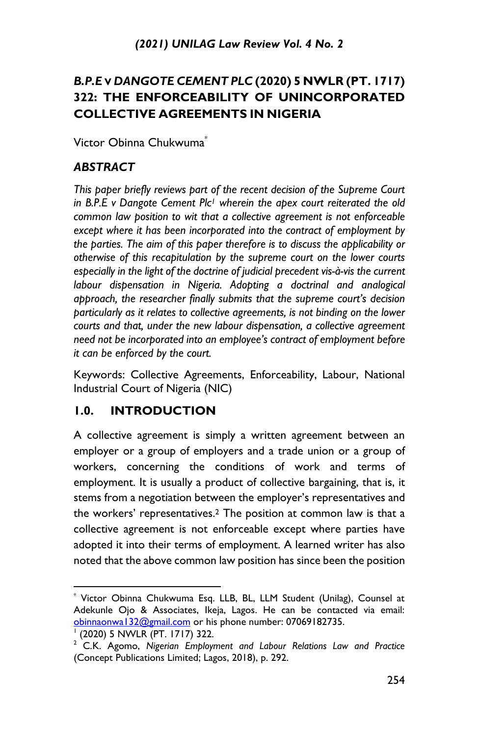## *B.P.E* **V** *DANGOTE CEMENT PLC* **(2020) 5 NWLR (PT. 1717) 322: THE ENFORCEABILITY OF UNINCORPORATED COLLECTIVE AGREEMENTS IN NIGERIA**

Victor Obinna Chukwuma $^{\dagger}$ 

#### *ABSTRACT*

*This paper briefly reviews part of the recent decision of the Supreme Court in B.P.E v Dangote Cement Plc<sup>1</sup> wherein the apex court reiterated the old common law position to wit that a collective agreement is not enforceable except where it has been incorporated into the contract of employment by the parties. The aim of this paper therefore is to discuss the applicability or otherwise of this recapitulation by the supreme court on the lower courts especially in the light of the doctrine of judicial precedent vis-à-vis the current labour dispensation in Nigeria. Adopting a doctrinal and analogical approach, the researcher finally submits that the supreme court's decision particularly as it relates to collective agreements, is not binding on the lower courts and that, under the new labour dispensation, a collective agreement need not be incorporated into an employee's contract of employment before it can be enforced by the court.*

Keywords: Collective Agreements, Enforceability, Labour, National Industrial Court of Nigeria (NIC)

## **1.0. INTRODUCTION**

A collective agreement is simply a written agreement between an employer or a group of employers and a trade union or a group of workers, concerning the conditions of work and terms of employment. It is usually a product of collective bargaining, that is, it stems from a negotiation between the employer's representatives and the workers' representatives.<sup>2</sup> The position at common law is that a collective agreement is not enforceable except where parties have adopted it into their terms of employment. A learned writer has also noted that the above common law position has since been the position

<sup>\*</sup> Victor Obinna Chukwuma Esq. LLB, BL, LLM Student (Unilag), Counsel at Adekunle Ojo & Associates, Ikeja, Lagos. He can be contacted via email: obinnaonwal32@gmail.com or his phone number: 07069182735.

<sup>1</sup> (2020) 5 NWLR (PT. 1717) 322.

<sup>2</sup> C.K. Agomo, *Nigerian Employment and Labour Relations Law and Practice* (Concept Publications Limited; Lagos, 2018), p. 292.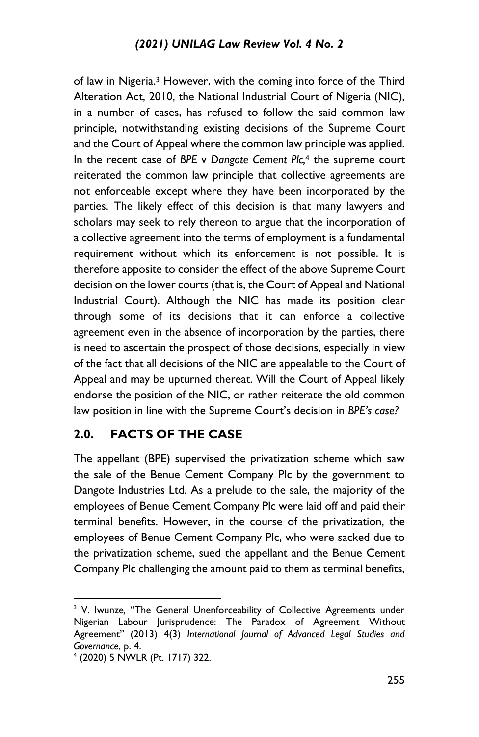of law in Nigeria.<sup>3</sup> However, with the coming into force of the Third Alteration Act, 2010, the National Industrial Court of Nigeria (NIC), in a number of cases, has refused to follow the said common law principle, notwithstanding existing decisions of the Supreme Court and the Court of Appeal where the common law principle was applied. In the recent case of *BPE* v *Dangote Cement Plc,*<sup>4</sup> the supreme court reiterated the common law principle that collective agreements are not enforceable except where they have been incorporated by the parties. The likely effect of this decision is that many lawyers and scholars may seek to rely thereon to argue that the incorporation of a collective agreement into the terms of employment is a fundamental requirement without which its enforcement is not possible. It is therefore apposite to consider the effect of the above Supreme Court decision on the lower courts (that is, the Court of Appeal and National Industrial Court). Although the NIC has made its position clear through some of its decisions that it can enforce a collective agreement even in the absence of incorporation by the parties, there is need to ascertain the prospect of those decisions, especially in view of the fact that all decisions of the NIC are appealable to the Court of Appeal and may be upturned thereat. Will the Court of Appeal likely endorse the position of the NIC, or rather reiterate the old common law position in line with the Supreme Court's decision in *BPE's case?*

## **2.0. FACTS OF THE CASE**

The appellant (BPE) supervised the privatization scheme which saw the sale of the Benue Cement Company Plc by the government to Dangote Industries Ltd. As a prelude to the sale, the majority of the employees of Benue Cement Company Plc were laid off and paid their terminal benefits. However, in the course of the privatization, the employees of Benue Cement Company Plc, who were sacked due to the privatization scheme, sued the appellant and the Benue Cement Company Plc challenging the amount paid to them as terminal benefits,

<sup>&</sup>lt;sup>3</sup> V. Iwunze, "The General Unenforceability of Collective Agreements under Nigerian Labour Jurisprudence: The Paradox of Agreement Without Agreement" (2013) 4(3) *International Journal of Advanced Legal Studies and Governance*, p. 4.

<sup>4</sup> (2020) 5 NWLR (Pt. 1717) 322.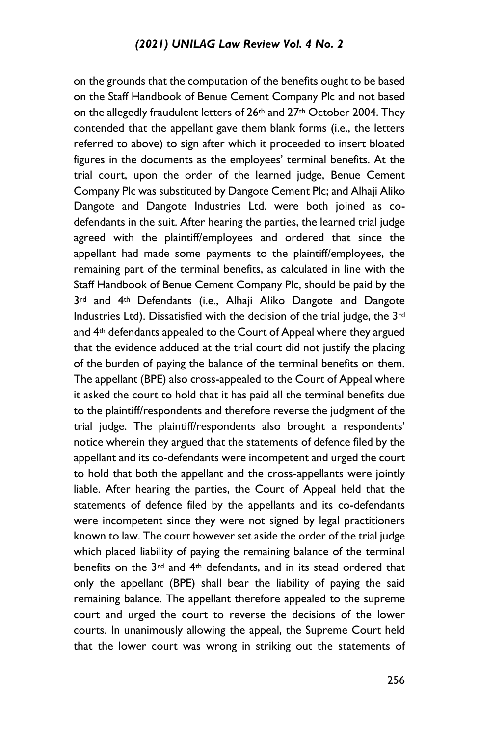on the grounds that the computation of the benefits ought to be based on the Staff Handbook of Benue Cement Company Plc and not based on the allegedly fraudulent letters of 26th and 27th October 2004. They contended that the appellant gave them blank forms (i.e., the letters referred to above) to sign after which it proceeded to insert bloated figures in the documents as the employees' terminal benefits. At the trial court, upon the order of the learned judge, Benue Cement Company Plc was substituted by Dangote Cement Plc; and Alhaji Aliko Dangote and Dangote Industries Ltd. were both joined as codefendants in the suit. After hearing the parties, the learned trial judge agreed with the plaintiff/employees and ordered that since the appellant had made some payments to the plaintiff/employees, the remaining part of the terminal benefits, as calculated in line with the Staff Handbook of Benue Cement Company Plc, should be paid by the 3<sup>rd</sup> and 4<sup>th</sup> Defendants (i.e., Alhaji Aliko Dangote and Dangote Industries Ltd). Dissatisfied with the decision of the trial judge, the 3rd and 4<sup>th</sup> defendants appealed to the Court of Appeal where they argued that the evidence adduced at the trial court did not justify the placing of the burden of paying the balance of the terminal benefits on them. The appellant (BPE) also cross-appealed to the Court of Appeal where it asked the court to hold that it has paid all the terminal benefits due to the plaintiff/respondents and therefore reverse the judgment of the trial judge. The plaintiff/respondents also brought a respondents' notice wherein they argued that the statements of defence filed by the appellant and its co-defendants were incompetent and urged the court to hold that both the appellant and the cross-appellants were jointly liable. After hearing the parties, the Court of Appeal held that the statements of defence filed by the appellants and its co-defendants were incompetent since they were not signed by legal practitioners known to law. The court however set aside the order of the trial judge which placed liability of paying the remaining balance of the terminal benefits on the 3rd and 4th defendants, and in its stead ordered that only the appellant (BPE) shall bear the liability of paying the said remaining balance. The appellant therefore appealed to the supreme court and urged the court to reverse the decisions of the lower courts. In unanimously allowing the appeal, the Supreme Court held that the lower court was wrong in striking out the statements of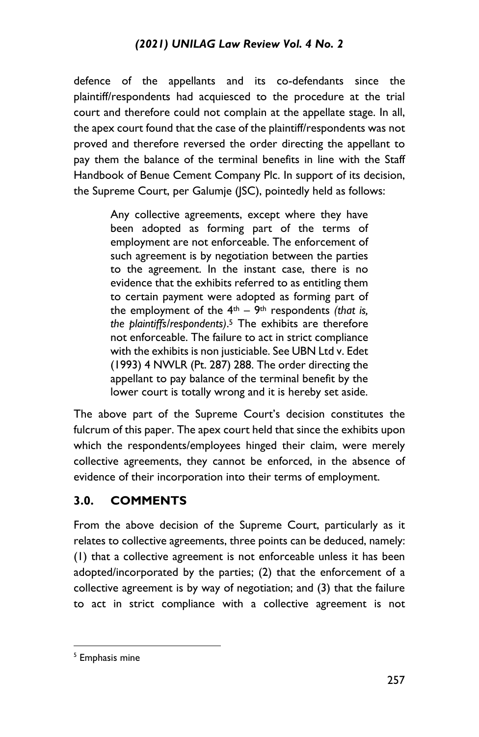#### *(2021) UNILAG Law Review Vol. 4 No. 2*

defence of the appellants and its co-defendants since the plaintiff/respondents had acquiesced to the procedure at the trial court and therefore could not complain at the appellate stage. In all, the apex court found that the case of the plaintiff/respondents was not proved and therefore reversed the order directing the appellant to pay them the balance of the terminal benefits in line with the Staff Handbook of Benue Cement Company Plc. In support of its decision, the Supreme Court, per Galumje (JSC), pointedly held as follows:

> Any collective agreements, except where they have been adopted as forming part of the terms of employment are not enforceable. The enforcement of such agreement is by negotiation between the parties to the agreement. In the instant case, there is no evidence that the exhibits referred to as entitling them to certain payment were adopted as forming part of the employment of the  $4<sup>th</sup> - 9<sup>th</sup>$  respondents *(that is, the plaintiffs/respondents)*. <sup>5</sup> The exhibits are therefore not enforceable. The failure to act in strict compliance with the exhibits is non justiciable. See UBN Ltd v. Edet (1993) 4 NWLR (Pt. 287) 288. The order directing the appellant to pay balance of the terminal benefit by the lower court is totally wrong and it is hereby set aside.

The above part of the Supreme Court's decision constitutes the fulcrum of this paper. The apex court held that since the exhibits upon which the respondents/employees hinged their claim, were merely collective agreements, they cannot be enforced, in the absence of evidence of their incorporation into their terms of employment.

#### **3.0. COMMENTS**

From the above decision of the Supreme Court, particularly as it relates to collective agreements, three points can be deduced, namely: (1) that a collective agreement is not enforceable unless it has been adopted/incorporated by the parties; (2) that the enforcement of a collective agreement is by way of negotiation; and (3) that the failure to act in strict compliance with a collective agreement is not

<sup>&</sup>lt;sup>5</sup> Emphasis mine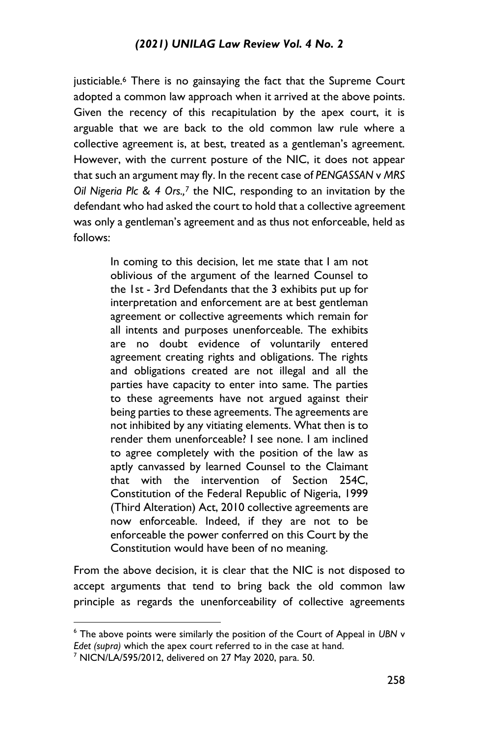justiciable.<sup>6</sup> There is no gainsaying the fact that the Supreme Court adopted a common law approach when it arrived at the above points. Given the recency of this recapitulation by the apex court, it is arguable that we are back to the old common law rule where a collective agreement is, at best, treated as a gentleman's agreement. However, with the current posture of the NIC, it does not appear that such an argument may fly. In the recent case of *PENGASSAN* v *MRS Oil Nigeria Plc & 4 Ors.,<sup>7</sup>* the NIC, responding to an invitation by the defendant who had asked the court to hold that a collective agreement was only a gentleman's agreement and as thus not enforceable, held as follows:

> In coming to this decision, let me state that I am not oblivious of the argument of the learned Counsel to the 1st - 3rd Defendants that the 3 exhibits put up for interpretation and enforcement are at best gentleman agreement or collective agreements which remain for all intents and purposes unenforceable. The exhibits are no doubt evidence of voluntarily entered agreement creating rights and obligations. The rights and obligations created are not illegal and all the parties have capacity to enter into same. The parties to these agreements have not argued against their being parties to these agreements. The agreements are not inhibited by any vitiating elements. What then is to render them unenforceable? I see none. I am inclined to agree completely with the position of the law as aptly canvassed by learned Counsel to the Claimant that with the intervention of Section 254C, Constitution of the Federal Republic of Nigeria, 1999 (Third Alteration) Act, 2010 collective agreements are now enforceable. Indeed, if they are not to be enforceable the power conferred on this Court by the Constitution would have been of no meaning.

From the above decision, it is clear that the NIC is not disposed to accept arguments that tend to bring back the old common law principle as regards the unenforceability of collective agreements

<sup>6</sup> The above points were similarly the position of the Court of Appeal in *UBN* v *Edet (supra)* which the apex court referred to in the case at hand.

<sup>7</sup> NICN/LA/595/2012, delivered on 27 May 2020, para. 50.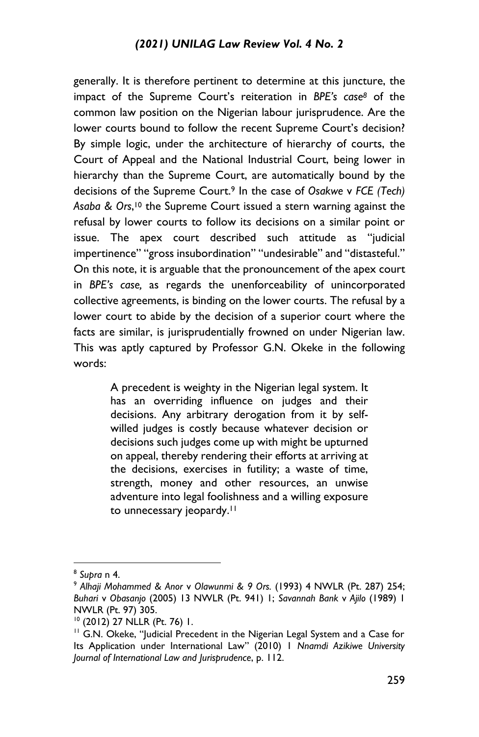generally. It is therefore pertinent to determine at this juncture, the impact of the Supreme Court's reiteration in *BPE's case<sup>8</sup>* of the common law position on the Nigerian labour jurisprudence. Are the lower courts bound to follow the recent Supreme Court's decision? By simple logic, under the architecture of hierarchy of courts, the Court of Appeal and the National Industrial Court, being lower in hierarchy than the Supreme Court, are automatically bound by the decisions of the Supreme Court.<sup>9</sup> In the case of *Osakwe* v *FCE (Tech) Asaba & Ors*, <sup>10</sup> the Supreme Court issued a stern warning against the refusal by lower courts to follow its decisions on a similar point or issue. The apex court described such attitude as "judicial impertinence" "gross insubordination" "undesirable" and "distasteful." On this note, it is arguable that the pronouncement of the apex court in *BPE's case,* as regards the unenforceability of unincorporated collective agreements, is binding on the lower courts. The refusal by a lower court to abide by the decision of a superior court where the facts are similar, is jurisprudentially frowned on under Nigerian law. This was aptly captured by Professor G.N. Okeke in the following words:

> A precedent is weighty in the Nigerian legal system. It has an overriding influence on judges and their decisions. Any arbitrary derogation from it by selfwilled judges is costly because whatever decision or decisions such judges come up with might be upturned on appeal, thereby rendering their efforts at arriving at the decisions, exercises in futility; a waste of time, strength, money and other resources, an unwise adventure into legal foolishness and a willing exposure to unnecessary jeopardy.<sup>11</sup>

<sup>8</sup> *Supra* n 4.

<sup>9</sup> *Alhaji Mohammed & Anor* v *Olawunmi & 9 Ors.* (1993) 4 NWLR (Pt. 287) 254; *Buhari* v *Obasanjo* (2005) 13 NWLR (Pt. 941) 1; *Savannah Bank* v *Ajilo* (1989) 1 NWLR (Pt. 97) 305.

<sup>10</sup> (2012) 27 NLLR (Pt. 76) 1.

<sup>&</sup>lt;sup>11</sup> G.N. Okeke, "Judicial Precedent in the Nigerian Legal System and a Case for Its Application under International Law" (2010) 1 *Nnamdi Azikiwe University Journal of International Law and Jurisprudence*, p. 112.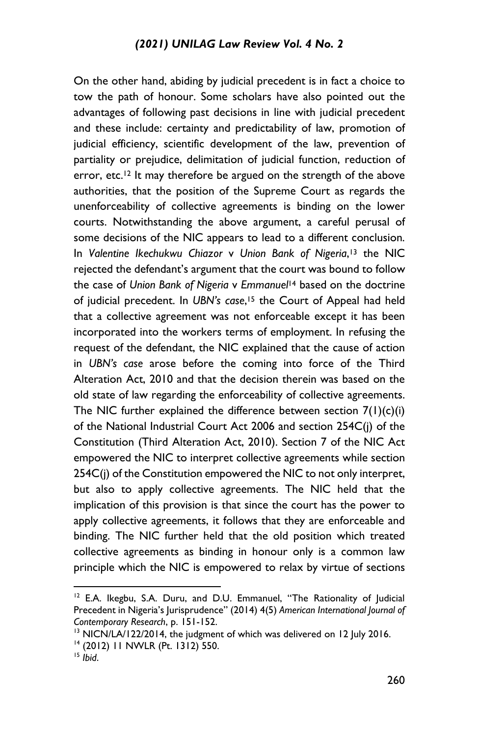On the other hand, abiding by judicial precedent is in fact a choice to tow the path of honour. Some scholars have also pointed out the advantages of following past decisions in line with judicial precedent and these include: certainty and predictability of law, promotion of judicial efficiency, scientific development of the law, prevention of partiality or prejudice, delimitation of judicial function, reduction of error, etc.<sup>12</sup> It may therefore be argued on the strength of the above authorities, that the position of the Supreme Court as regards the unenforceability of collective agreements is binding on the lower courts. Notwithstanding the above argument, a careful perusal of some decisions of the NIC appears to lead to a different conclusion. In *Valentine Ikechukwu Chiazor* v *Union Bank of Nigeria*, <sup>13</sup> the NIC rejected the defendant's argument that the court was bound to follow the case of *Union Bank of Nigeria* v *Emmanuel*<sup>14</sup> based on the doctrine of judicial precedent. In *UBN's case*, <sup>15</sup> the Court of Appeal had held that a collective agreement was not enforceable except it has been incorporated into the workers terms of employment. In refusing the request of the defendant, the NIC explained that the cause of action in *UBN's case* arose before the coming into force of the Third Alteration Act, 2010 and that the decision therein was based on the old state of law regarding the enforceability of collective agreements. The NIC further explained the difference between section  $7(1)(c)(i)$ of the National Industrial Court Act 2006 and section 254C(j) of the Constitution (Third Alteration Act, 2010). Section 7 of the NIC Act empowered the NIC to interpret collective agreements while section 254C(j) of the Constitution empowered the NIC to not only interpret, but also to apply collective agreements. The NIC held that the implication of this provision is that since the court has the power to apply collective agreements, it follows that they are enforceable and binding. The NIC further held that the old position which treated collective agreements as binding in honour only is a common law principle which the NIC is empowered to relax by virtue of sections

 $12$  E.A. Ikegbu, S.A. Duru, and D.U. Emmanuel, "The Rationality of Judicial Precedent in Nigeria's Jurisprudence" (2014) 4(5) *American International Journal of Contemporary Research*, p. 151-152.

<sup>&</sup>lt;sup>13</sup> NICN/LA/122/2014, the judgment of which was delivered on 12 July 2016. <sup>14</sup> (2012) 11 NWLR (Pt. 1312) 550.

<sup>15</sup> *Ibid*.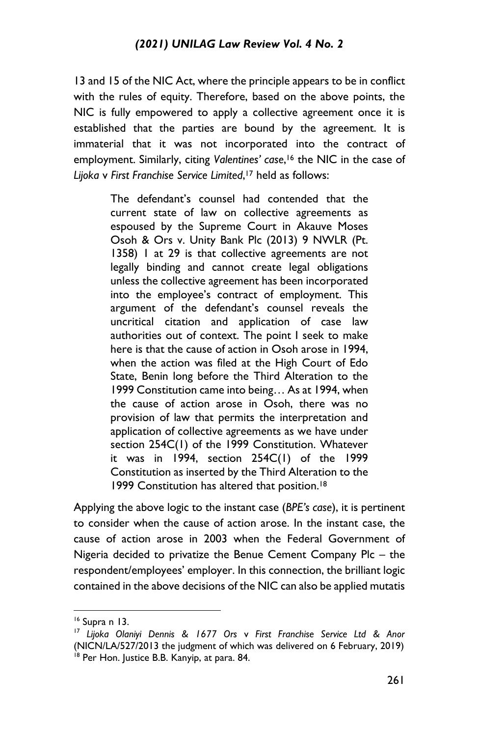13 and 15 of the NIC Act, where the principle appears to be in conflict with the rules of equity. Therefore, based on the above points, the NIC is fully empowered to apply a collective agreement once it is established that the parties are bound by the agreement. It is immaterial that it was not incorporated into the contract of employment. Similarly, citing *Valentines' case*, <sup>16</sup> the NIC in the case of *Lijoka* v *First Franchise Service Limited*, <sup>17</sup> held as follows:

> The defendant's counsel had contended that the current state of law on collective agreements as espoused by the Supreme Court in Akauve Moses Osoh & Ors v. Unity Bank Plc (2013) 9 NWLR (Pt. 1358) 1 at 29 is that collective agreements are not legally binding and cannot create legal obligations unless the collective agreement has been incorporated into the employee's contract of employment. This argument of the defendant's counsel reveals the uncritical citation and application of case law authorities out of context. The point I seek to make here is that the cause of action in Osoh arose in 1994, when the action was filed at the High Court of Edo State, Benin long before the Third Alteration to the 1999 Constitution came into being… As at 1994, when the cause of action arose in Osoh, there was no provision of law that permits the interpretation and application of collective agreements as we have under section 254C(1) of the 1999 Constitution. Whatever it was in 1994, section 254C(1) of the 1999 Constitution as inserted by the Third Alteration to the 1999 Constitution has altered that position.<sup>18</sup>

Applying the above logic to the instant case (*BPE's case*), it is pertinent to consider when the cause of action arose. In the instant case, the cause of action arose in 2003 when the Federal Government of Nigeria decided to privatize the Benue Cement Company Plc – the respondent/employees' employer. In this connection, the brilliant logic contained in the above decisions of the NIC can also be applied mutatis

<sup>16</sup> Supra n 13.

<sup>17</sup> *Lijoka Olaniyi Dennis & 1677 Ors* v *First Franchise Service Ltd & Anor*  (NICN/LA/527/2013 the judgment of which was delivered on 6 February, 2019) <sup>18</sup> Per Hon. Justice B.B. Kanyip, at para. 84.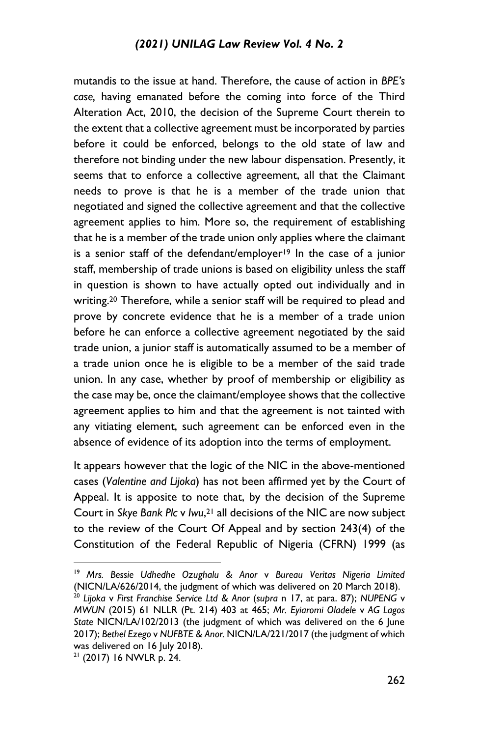mutandis to the issue at hand. Therefore, the cause of action in *BPE's case,* having emanated before the coming into force of the Third Alteration Act, 2010, the decision of the Supreme Court therein to the extent that a collective agreement must be incorporated by parties before it could be enforced, belongs to the old state of law and therefore not binding under the new labour dispensation. Presently, it seems that to enforce a collective agreement, all that the Claimant needs to prove is that he is a member of the trade union that negotiated and signed the collective agreement and that the collective agreement applies to him. More so, the requirement of establishing that he is a member of the trade union only applies where the claimant is a senior staff of the defendant/employer<sup>19</sup> In the case of a junior staff, membership of trade unions is based on eligibility unless the staff in question is shown to have actually opted out individually and in writing.<sup>20</sup> Therefore, while a senior staff will be required to plead and prove by concrete evidence that he is a member of a trade union before he can enforce a collective agreement negotiated by the said trade union, a junior staff is automatically assumed to be a member of a trade union once he is eligible to be a member of the said trade union. In any case, whether by proof of membership or eligibility as the case may be, once the claimant/employee shows that the collective agreement applies to him and that the agreement is not tainted with any vitiating element, such agreement can be enforced even in the absence of evidence of its adoption into the terms of employment.

It appears however that the logic of the NIC in the above-mentioned cases (*Valentine and Lijoka*) has not been affirmed yet by the Court of Appeal. It is apposite to note that, by the decision of the Supreme Court in *Skye Bank Plc* v *Iwu*, <sup>21</sup> all decisions of the NIC are now subject to the review of the Court Of Appeal and by section 243(4) of the Constitution of the Federal Republic of Nigeria (CFRN) 1999 (as

<sup>19</sup> *Mrs. Bessie Udhedhe Ozughalu & Anor* v *Bureau Veritas Nigeria Limited* (NICN/LA/626/2014, the judgment of which was delivered on 20 March 2018).

<sup>20</sup> *Lijoka* v *First Franchise Service Ltd & Anor* (*supra* n 17, at para. 87); *NUPENG* v *MWUN* (2015) 61 NLLR (Pt. 214) 403 at 465; *Mr. Eyiaromi Oladele* v *AG Lagos State* NICN/LA/102/2013 (the judgment of which was delivered on the 6 June 2017); *Bethel Ezego* v *NUFBTE & Anor.* NICN/LA/221/2017 (the judgment of which was delivered on 16 July 2018).

 $21$  (2017) 16 NWLR p. 24.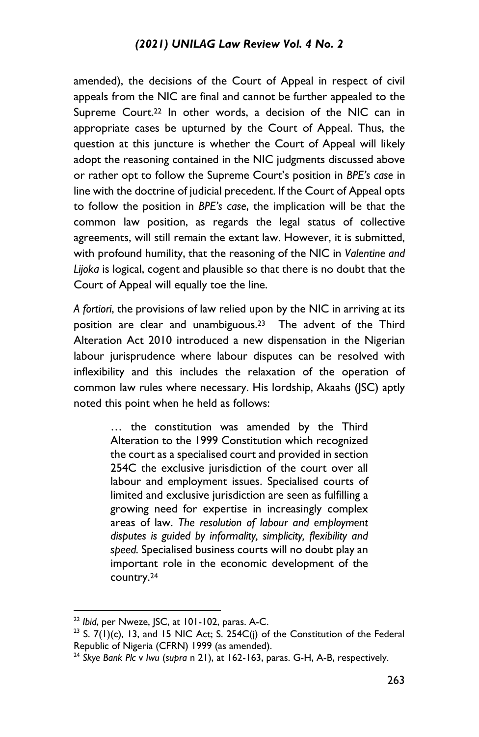amended), the decisions of the Court of Appeal in respect of civil appeals from the NIC are final and cannot be further appealed to the Supreme Court.<sup>22</sup> In other words, a decision of the NIC can in appropriate cases be upturned by the Court of Appeal. Thus, the question at this juncture is whether the Court of Appeal will likely adopt the reasoning contained in the NIC judgments discussed above or rather opt to follow the Supreme Court's position in *BPE's case* in line with the doctrine of judicial precedent. If the Court of Appeal opts to follow the position in *BPE's case*, the implication will be that the common law position, as regards the legal status of collective agreements, will still remain the extant law. However, it is submitted, with profound humility, that the reasoning of the NIC in *Valentine and Lijoka* is logical, cogent and plausible so that there is no doubt that the Court of Appeal will equally toe the line.

*A fortiori*, the provisions of law relied upon by the NIC in arriving at its position are clear and unambiguous.23 The advent of the Third Alteration Act 2010 introduced a new dispensation in the Nigerian labour jurisprudence where labour disputes can be resolved with inflexibility and this includes the relaxation of the operation of common law rules where necessary. His lordship, Akaahs (JSC) aptly noted this point when he held as follows:

> … the constitution was amended by the Third Alteration to the 1999 Constitution which recognized the court as a specialised court and provided in section 254C the exclusive jurisdiction of the court over all labour and employment issues. Specialised courts of limited and exclusive jurisdiction are seen as fulfilling a growing need for expertise in increasingly complex areas of law. *The resolution of labour and employment disputes is guided by informality, simplicity, flexibility and speed.* Specialised business courts will no doubt play an important role in the economic development of the country.<sup>24</sup>

<sup>22</sup> *Ibid*, per Nweze, JSC, at 101-102, paras. A-C.

<sup>&</sup>lt;sup>23</sup> S.  $7(1)(c)$ , 13, and 15 NIC Act; S. 254C(j) of the Constitution of the Federal Republic of Nigeria (CFRN) 1999 (as amended).

<sup>24</sup> *Skye Bank Plc* v *Iwu* (*supra* n 21), at 162-163, paras. G-H, A-B, respectively.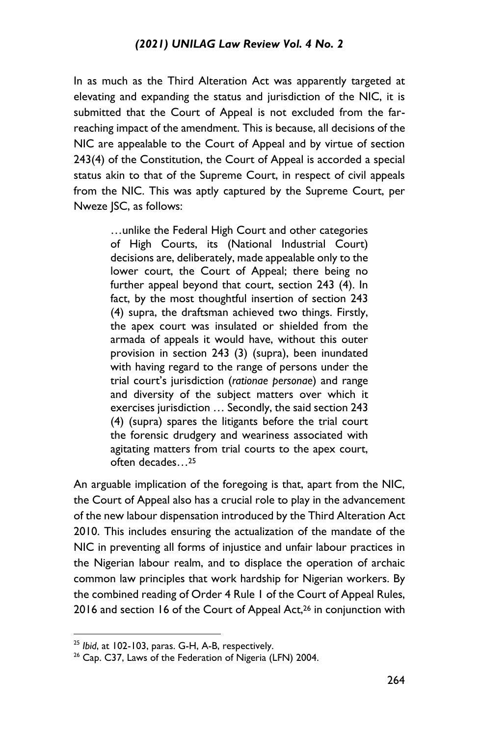In as much as the Third Alteration Act was apparently targeted at elevating and expanding the status and jurisdiction of the NIC, it is submitted that the Court of Appeal is not excluded from the farreaching impact of the amendment. This is because, all decisions of the NIC are appealable to the Court of Appeal and by virtue of section 243(4) of the Constitution, the Court of Appeal is accorded a special status akin to that of the Supreme Court, in respect of civil appeals from the NIC. This was aptly captured by the Supreme Court, per Nweze JSC, as follows:

> …unlike the Federal High Court and other categories of High Courts, its (National Industrial Court) decisions are, deliberately, made appealable only to the lower court, the Court of Appeal; there being no further appeal beyond that court, section 243 (4). In fact, by the most thoughtful insertion of section 243 (4) supra, the draftsman achieved two things. Firstly, the apex court was insulated or shielded from the armada of appeals it would have, without this outer provision in section 243 (3) (supra), been inundated with having regard to the range of persons under the trial court's jurisdiction (*rationae personae*) and range and diversity of the subject matters over which it exercises jurisdiction … Secondly, the said section 243 (4) (supra) spares the litigants before the trial court the forensic drudgery and weariness associated with agitating matters from trial courts to the apex court, often decades…<sup>25</sup>

An arguable implication of the foregoing is that, apart from the NIC, the Court of Appeal also has a crucial role to play in the advancement of the new labour dispensation introduced by the Third Alteration Act 2010. This includes ensuring the actualization of the mandate of the NIC in preventing all forms of injustice and unfair labour practices in the Nigerian labour realm, and to displace the operation of archaic common law principles that work hardship for Nigerian workers. By the combined reading of Order 4 Rule 1 of the Court of Appeal Rules, 2016 and section 16 of the Court of Appeal Act,<sup>26</sup> in conjunction with

<sup>25</sup> *Ibid*, at 102-103, paras. G-H, A-B, respectively.

<sup>&</sup>lt;sup>26</sup> Cap. C37, Laws of the Federation of Nigeria (LFN) 2004.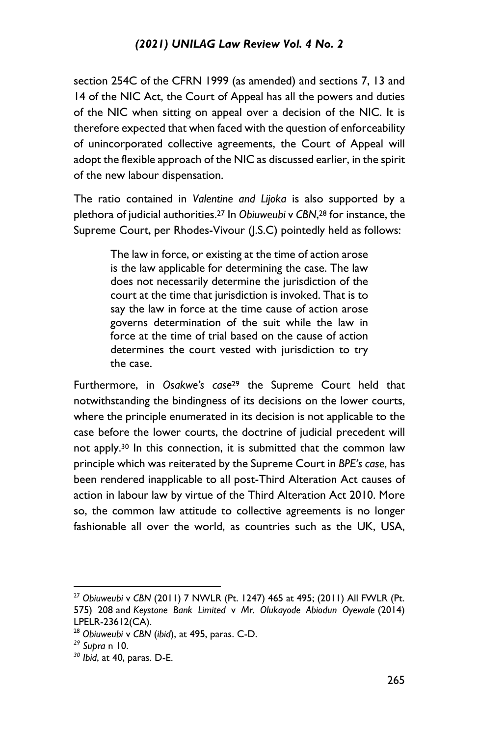section 254C of the CFRN 1999 (as amended) and sections 7, 13 and 14 of the NIC Act, the Court of Appeal has all the powers and duties of the NIC when sitting on appeal over a decision of the NIC. It is therefore expected that when faced with the question of enforceability of unincorporated collective agreements, the Court of Appeal will adopt the flexible approach of the NIC as discussed earlier, in the spirit of the new labour dispensation.

The ratio contained in *Valentine and Lijoka* is also supported by a plethora of judicial authorities.<sup>27</sup> In *Obiuweubi* v *CBN*, <sup>28</sup> for instance, the Supreme Court, per Rhodes-Vivour (J.S.C) pointedly held as follows:

> The law in force, or existing at the time of action arose is the law applicable for determining the case. The law does not necessarily determine the jurisdiction of the court at the time that jurisdiction is invoked. That is to say the law in force at the time cause of action arose governs determination of the suit while the law in force at the time of trial based on the cause of action determines the court vested with jurisdiction to try the case.

Furthermore, in *Osakwe's case*<sup>29</sup> the Supreme Court held that notwithstanding the bindingness of its decisions on the lower courts, where the principle enumerated in its decision is not applicable to the case before the lower courts, the doctrine of judicial precedent will not apply.<sup>30</sup> In this connection, it is submitted that the common law principle which was reiterated by the Supreme Court in *BPE's case*, has been rendered inapplicable to all post-Third Alteration Act causes of action in labour law by virtue of the Third Alteration Act 2010. More so, the common law attitude to collective agreements is no longer fashionable all over the world, as countries such as the UK, USA,

<sup>27</sup> *Obiuweubi* v *CBN* (2011) 7 NWLR (Pt. 1247) 465 at 495; (2011) All FWLR (Pt. 575) 208 and *Keystone Bank Limited* v *Mr. Olukayode Abiodun Oyewale* (2014) LPELR-23612(CA).

<sup>28</sup> *Obiuweubi* v *CBN* (*ibid*), at 495, paras. C-D.

*<sup>29</sup> Supra* n 10.

*<sup>30</sup> Ibid*, at 40, paras. D-E.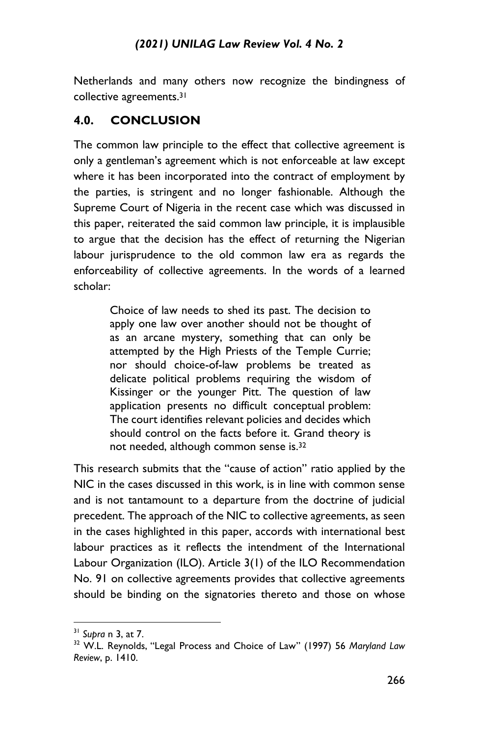Netherlands and many others now recognize the bindingness of collective agreements.<sup>31</sup>

#### **4.0. CONCLUSION**

The common law principle to the effect that collective agreement is only a gentleman's agreement which is not enforceable at law except where it has been incorporated into the contract of employment by the parties, is stringent and no longer fashionable. Although the Supreme Court of Nigeria in the recent case which was discussed in this paper, reiterated the said common law principle, it is implausible to argue that the decision has the effect of returning the Nigerian labour jurisprudence to the old common law era as regards the enforceability of collective agreements. In the words of a learned scholar:

> Choice of law needs to shed its past. The decision to apply one law over another should not be thought of as an arcane mystery, something that can only be attempted by the High Priests of the Temple Currie; nor should choice-of-law problems be treated as delicate political problems requiring the wisdom of Kissinger or the younger Pitt. The question of law application presents no difficult conceptual problem: The court identifies relevant policies and decides which should control on the facts before it. Grand theory is not needed, although common sense is.<sup>32</sup>

This research submits that the "cause of action" ratio applied by the NIC in the cases discussed in this work, is in line with common sense and is not tantamount to a departure from the doctrine of judicial precedent. The approach of the NIC to collective agreements, as seen in the cases highlighted in this paper, accords with international best labour practices as it reflects the intendment of the International Labour Organization (ILO). Article 3(1) of the ILO Recommendation No. 91 on collective agreements provides that collective agreements should be binding on the signatories thereto and those on whose

<sup>31</sup> *Supra* n 3, at 7.

<sup>32</sup> W.L. Reynolds, "Legal Process and Choice of Law" (1997) 56 *Maryland Law Review*, p. 1410.